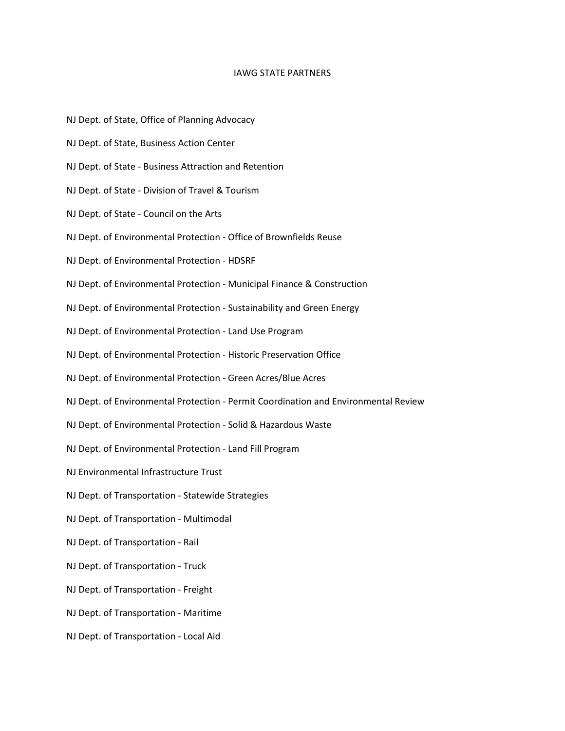## IAWG STATE PARTNERS

- NJ Dept. of State, Office of Planning Advocacy
- NJ Dept. of State, Business Action Center
- NJ Dept. of State Business Attraction and Retention
- NJ Dept. of State Division of Travel & Tourism
- NJ Dept. of State Council on the Arts
- NJ Dept. of Environmental Protection Office of Brownfields Reuse
- NJ Dept. of Environmental Protection HDSRF
- NJ Dept. of Environmental Protection Municipal Finance & Construction
- NJ Dept. of Environmental Protection Sustainability and Green Energy
- NJ Dept. of Environmental Protection Land Use Program
- NJ Dept. of Environmental Protection Historic Preservation Office
- NJ Dept. of Environmental Protection Green Acres/Blue Acres
- NJ Dept. of Environmental Protection Permit Coordination and Environmental Review
- NJ Dept. of Environmental Protection Solid & Hazardous Waste
- NJ Dept. of Environmental Protection Land Fill Program
- NJ Environmental Infrastructure Trust
- NJ Dept. of Transportation Statewide Strategies
- NJ Dept. of Transportation Multimodal
- NJ Dept. of Transportation Rail
- NJ Dept. of Transportation Truck
- NJ Dept. of Transportation Freight
- NJ Dept. of Transportation Maritime
- NJ Dept. of Transportation Local Aid